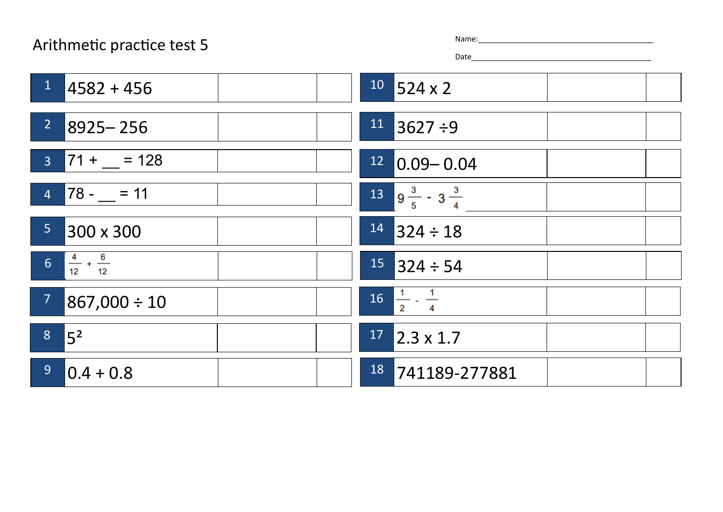## Arithmetic practice test 5

| ne: |  |  |  |  |  |
|-----|--|--|--|--|--|
|     |  |  |  |  |  |

Date\_\_\_\_\_\_\_\_\_\_\_\_\_\_\_\_\_\_\_\_\_\_\_\_\_\_\_\_\_\_\_\_\_\_\_\_\_\_\_\_\_\_

| $\mathbf{1}$<br>$14582 + 456$                | $10$ 524 x 2                      |
|----------------------------------------------|-----------------------------------|
| 2<br>$8925 - 256$                            | $11$ 3627 ÷9                      |
| $3$ 71 + _ = 128                             | $12$ 0.09 - 0.04                  |
| $4 \mid 78 - 11 \mid$                        | $13 \t 9^{\t 3/2} - 3^{\t 3/4}$   |
| 5 <sub>1</sub><br>300 x 300                  | $14$ 324 ÷ 18                     |
| $\frac{4}{12} + \frac{6}{12}$<br>$\boxed{6}$ | $15$ 324 ÷ 54                     |
| 7 <sup>7</sup><br>$867,000 \div 10$          | $16\frac{1}{2} \cdot \frac{1}{4}$ |
| 8 <sup>1</sup><br>$\sqrt{5^2}$               | $17$ 2.3 x 1.7                    |
| 9 <sup>°</sup><br>$ 0.4 + 0.8 $              | 18<br>741189-277881               |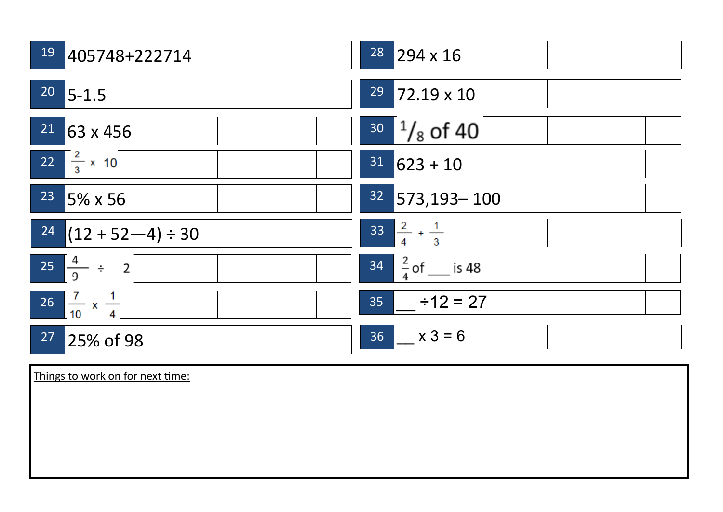| 19<br>405748+222714                  | $28$ 294 x 16                 |
|--------------------------------------|-------------------------------|
| $20$ 5-1.5                           | <sup>29</sup> 72.19 x 10      |
| $21$ 63 x 456                        | $30^{1}/_8$ of 40             |
| 22 $\frac{2}{3} \times 10$           | $31   623 + 10$               |
| <sup>23</sup> 5% x 56                | $32$ 573,193 - 100            |
| $\boxed{24}$ (12 + 52-4) ÷ 30        | $33\frac{2}{4} + \frac{1}{3}$ |
| $25 \frac{4}{9} \div 2$              | $34 \frac{2}{4}$ of ___ is 48 |
| $26 \frac{7}{10} \times \frac{1}{4}$ | $35 + 12 = 27$                |
| 27<br>25% of 98                      | $36 \times 3 = 6$             |

Things to work on for next time: